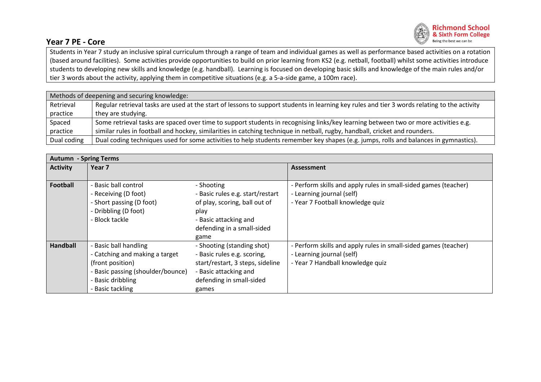

## **Year 7 PE - Core**

Students in Year 7 study an inclusive spiral curriculum through a range of team and individual games as well as performance based activities on a rotation (based around facilities). Some activities provide opportunities to build on prior learning from KS2 (e.g. netball, football) whilst some activities introduce students to developing new skills and knowledge (e.g. handball). Learning is focused on developing basic skills and knowledge of the main rules and/or tier 3 words about the activity, applying them in competitive situations (e.g. a 5-a-side game, a 100m race).

| Methods of deepening and securing knowledge: |                                                                                                                                              |  |  |  |
|----------------------------------------------|----------------------------------------------------------------------------------------------------------------------------------------------|--|--|--|
| Retrieval                                    | Regular retrieval tasks are used at the start of lessons to support students in learning key rules and tier 3 words relating to the activity |  |  |  |
| practice                                     | they are studying.                                                                                                                           |  |  |  |
| Spaced                                       | Some retrieval tasks are spaced over time to support students in recognising links/key learning between two or more activities e.g.          |  |  |  |
| practice                                     | similar rules in football and hockey, similarities in catching technique in netball, rugby, handball, cricket and rounders.                  |  |  |  |
| Dual coding                                  | Dual coding techniques used for some activities to help students remember key shapes (e.g. jumps, rolls and balances in gymnastics).         |  |  |  |

| <b>Autumn - Spring Terms</b> |                                   |                                  |                                                                 |  |  |  |
|------------------------------|-----------------------------------|----------------------------------|-----------------------------------------------------------------|--|--|--|
| <b>Activity</b>              | Year 7                            |                                  | <b>Assessment</b>                                               |  |  |  |
|                              |                                   |                                  |                                                                 |  |  |  |
| <b>Football</b>              | - Basic ball control              | - Shooting                       | - Perform skills and apply rules in small-sided games (teacher) |  |  |  |
|                              | - Receiving (D foot)              | - Basic rules e.g. start/restart | - Learning journal (self)                                       |  |  |  |
|                              | - Short passing (D foot)          | of play, scoring, ball out of    | - Year 7 Football knowledge quiz                                |  |  |  |
|                              | - Dribbling (D foot)              | play                             |                                                                 |  |  |  |
|                              | - Block tackle                    | - Basic attacking and            |                                                                 |  |  |  |
|                              |                                   | defending in a small-sided       |                                                                 |  |  |  |
|                              |                                   | game                             |                                                                 |  |  |  |
| <b>Handball</b>              | <b>Basic ball handling</b>        | - Shooting (standing shot)       | - Perform skills and apply rules in small-sided games (teacher) |  |  |  |
|                              | - Catching and making a target    | - Basic rules e.g. scoring,      | - Learning journal (self)                                       |  |  |  |
|                              | (front position)                  | start/restart, 3 steps, sideline | - Year 7 Handball knowledge quiz                                |  |  |  |
|                              | - Basic passing (shoulder/bounce) | - Basic attacking and            |                                                                 |  |  |  |
|                              | <b>Basic dribbling</b>            | defending in small-sided         |                                                                 |  |  |  |
|                              | <b>Basic tackling</b>             | games                            |                                                                 |  |  |  |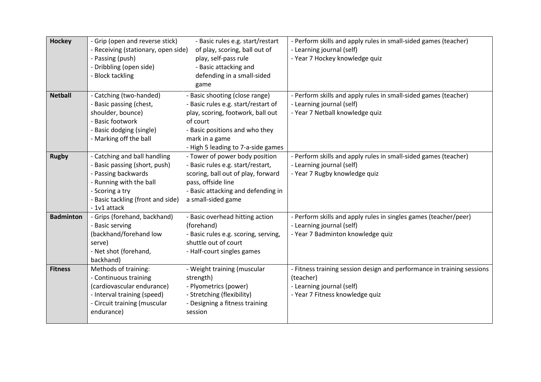| <b>Hockey</b>    | - Grip (open and reverse stick)<br>- Receiving (stationary, open side)<br>- Passing (push)<br>- Dribbling (open side)                                                                   | - Basic rules e.g. start/restart<br>of play, scoring, ball out of<br>play, self-pass rule<br>- Basic attacking and                                                                                                                | - Perform skills and apply rules in small-sided games (teacher)<br>- Learning journal (self)<br>- Year 7 Hockey knowledge quiz                      |
|------------------|-----------------------------------------------------------------------------------------------------------------------------------------------------------------------------------------|-----------------------------------------------------------------------------------------------------------------------------------------------------------------------------------------------------------------------------------|-----------------------------------------------------------------------------------------------------------------------------------------------------|
|                  | - Block tackling                                                                                                                                                                        | defending in a small-sided<br>game                                                                                                                                                                                                |                                                                                                                                                     |
| <b>Netball</b>   | - Catching (two-handed)<br>- Basic passing (chest,<br>shoulder, bounce)<br>- Basic footwork<br>- Basic dodging (single)<br>- Marking off the ball                                       | - Basic shooting (close range)<br>- Basic rules e.g. start/restart of<br>play, scoring, footwork, ball out<br>of court<br>- Basic positions and who they<br>mark in a game                                                        | - Perform skills and apply rules in small-sided games (teacher)<br>- Learning journal (self)<br>- Year 7 Netball knowledge quiz                     |
| <b>Rugby</b>     | - Catching and ball handling<br>- Basic passing (short, push)<br>- Passing backwards<br>- Running with the ball<br>- Scoring a try<br>- Basic tackling (front and side)<br>- 1v1 attack | - High 5 leading to 7-a-side games<br>- Tower of power body position<br>- Basic rules e.g. start/restart,<br>scoring, ball out of play, forward<br>pass, offside line<br>- Basic attacking and defending in<br>a small-sided game | - Perform skills and apply rules in small-sided games (teacher)<br>- Learning journal (self)<br>- Year 7 Rugby knowledge quiz                       |
| <b>Badminton</b> | - Grips (forehand, backhand)<br>- Basic serving<br>(backhand/forehand low<br>serve)<br>- Net shot (forehand,<br>backhand)                                                               | - Basic overhead hitting action<br>(forehand)<br>- Basic rules e.g. scoring, serving,<br>shuttle out of court<br>- Half-court singles games                                                                                       | - Perform skills and apply rules in singles games (teacher/peer)<br>- Learning journal (self)<br>- Year 7 Badminton knowledge quiz                  |
| <b>Fitness</b>   | Methods of training:<br>- Continuous training<br>(cardiovascular endurance)<br>- Interval training (speed)<br>- Circuit training (muscular<br>endurance)                                | - Weight training (muscular<br>strength)<br>- Plyometrics (power)<br>- Stretching (flexibility)<br>- Designing a fitness training<br>session                                                                                      | - Fitness training session design and performance in training sessions<br>(teacher)<br>- Learning journal (self)<br>- Year 7 Fitness knowledge quiz |